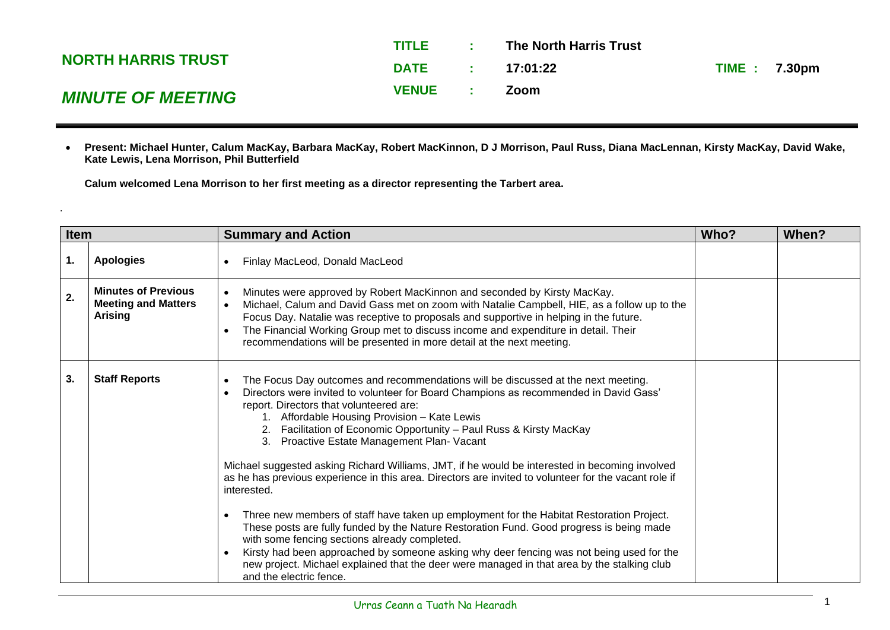|                           | TITLE.          | <b>Contractor</b>        | The North Harris Trust |                     |  |
|---------------------------|-----------------|--------------------------|------------------------|---------------------|--|
| <b>NORTH HARRIS TRUST</b> | DATE : 17:01:22 |                          |                        | <b>TIME: 7.30pm</b> |  |
| <b>MINUTE OF MEETING</b>  | <b>VENUE</b>    | <b>Contract Contract</b> | Zoom                   |                     |  |

• **Present: Michael Hunter, Calum MacKay, Barbara MacKay, Robert MacKinnon, D J Morrison, Paul Russ, Diana MacLennan, Kirsty MacKay, David Wake, Kate Lewis, Lena Morrison, Phil Butterfield**

**Calum welcomed Lena Morrison to her first meeting as a director representing the Tarbert area.** 

.

| Item |                                                                            | <b>Summary and Action</b>                                                                                                                                                                                                                                                                                                                                                                                                                                                                                                                                                                                                                                                                                                                                                                                                                                                                                                                                                                                                                                                                                   |  | When? |
|------|----------------------------------------------------------------------------|-------------------------------------------------------------------------------------------------------------------------------------------------------------------------------------------------------------------------------------------------------------------------------------------------------------------------------------------------------------------------------------------------------------------------------------------------------------------------------------------------------------------------------------------------------------------------------------------------------------------------------------------------------------------------------------------------------------------------------------------------------------------------------------------------------------------------------------------------------------------------------------------------------------------------------------------------------------------------------------------------------------------------------------------------------------------------------------------------------------|--|-------|
| 1.   | <b>Apologies</b>                                                           | Finlay MacLeod, Donald MacLeod<br>$\bullet$                                                                                                                                                                                                                                                                                                                                                                                                                                                                                                                                                                                                                                                                                                                                                                                                                                                                                                                                                                                                                                                                 |  |       |
| 2.   | <b>Minutes of Previous</b><br><b>Meeting and Matters</b><br><b>Arising</b> | Minutes were approved by Robert MacKinnon and seconded by Kirsty MacKay.<br>Michael, Calum and David Gass met on zoom with Natalie Campbell, HIE, as a follow up to the<br>$\bullet$<br>Focus Day. Natalie was receptive to proposals and supportive in helping in the future.<br>The Financial Working Group met to discuss income and expenditure in detail. Their<br>recommendations will be presented in more detail at the next meeting.                                                                                                                                                                                                                                                                                                                                                                                                                                                                                                                                                                                                                                                               |  |       |
| 3.   | <b>Staff Reports</b>                                                       | The Focus Day outcomes and recommendations will be discussed at the next meeting.<br>$\bullet$<br>Directors were invited to volunteer for Board Champions as recommended in David Gass'<br>report. Directors that volunteered are:<br>Affordable Housing Provision - Kate Lewis<br>2. Facilitation of Economic Opportunity - Paul Russ & Kirsty MacKay<br>3. Proactive Estate Management Plan- Vacant<br>Michael suggested asking Richard Williams, JMT, if he would be interested in becoming involved<br>as he has previous experience in this area. Directors are invited to volunteer for the vacant role if<br>interested.<br>Three new members of staff have taken up employment for the Habitat Restoration Project.<br>$\bullet$<br>These posts are fully funded by the Nature Restoration Fund. Good progress is being made<br>with some fencing sections already completed.<br>Kirsty had been approached by someone asking why deer fencing was not being used for the<br>new project. Michael explained that the deer were managed in that area by the stalking club<br>and the electric fence. |  |       |